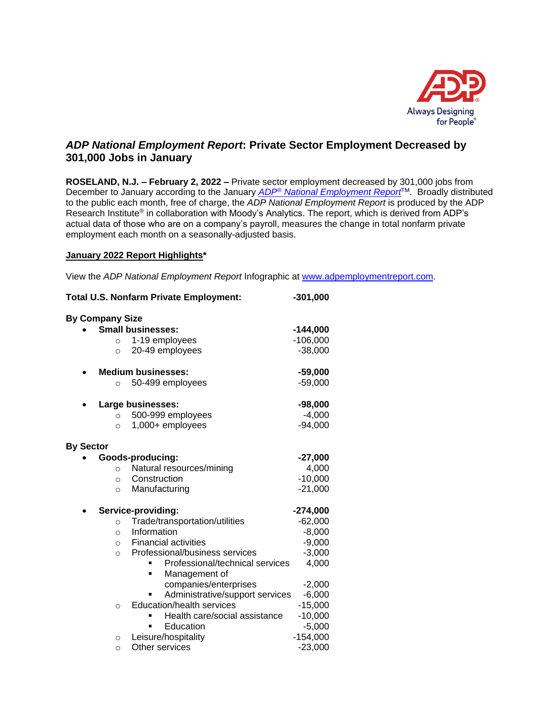

## *ADP National Employment Report***: Private Sector Employment Decreased by 301,000 Jobs in January**

**ROSELAND, N.J. – February 2, 2022 –** Private sector employment decreased by 301,000 jobs from December to January according to the January *ADP® [National Employment Report](http://www.adpemploymentreport.com/)*TM. Broadly distributed to the public each month, free of charge, the *ADP National Employment Report* is produced by the ADP Research Institute® in collaboration with Moody's Analytics. The report, which is derived from ADP's actual data of those who are on a company's payroll, measures the change in total nonfarm private employment each month on a seasonally-adjusted basis.

#### **January 2022 Report Highlights\***

View the *ADP National Employment Report* Infographic at [www.adpemploymentreport.com.](http://www.adpemploymentreport.com/)

| <b>Total U.S. Nonfarm Private Employment:</b>                       | $-301,000$ |
|---------------------------------------------------------------------|------------|
| <b>By Company Size</b>                                              |            |
| <b>Small businesses:</b>                                            | $-144,000$ |
| 1-19 employees<br>$\circ$                                           | $-106,000$ |
| 20-49 employees<br>$\circ$                                          | $-38,000$  |
| <b>Medium businesses:</b>                                           | $-59,000$  |
| 50-499 employees<br>$\circ$                                         | $-59,000$  |
| Large businesses:                                                   | $-98,000$  |
| 500-999 employees<br>$\circ$                                        | $-4,000$   |
| 1,000+ employees<br>$\circ$                                         | $-94,000$  |
| <b>By Sector</b>                                                    |            |
| Goods-producing:                                                    | $-27,000$  |
| Natural resources/mining<br>$\circ$                                 | 4,000      |
| Construction<br>$\circ$                                             | $-10,000$  |
| Manufacturing<br>$\circ$                                            | $-21,000$  |
| Service-providing:                                                  | $-274,000$ |
| Trade/transportation/utilities<br>$\circ$                           | $-62,000$  |
| Information<br>$\circ$                                              | $-8,000$   |
| <b>Financial activities</b><br>$\circ$                              | $-9,000$   |
| Professional/business services<br>$\circ$                           | $-3,000$   |
| Professional/technical services                                     | 4,000      |
| Management of                                                       |            |
| companies/enterprises                                               | $-2,000$   |
| Administrative/support services<br><b>Education/health services</b> | $-6,000$   |
| $\circ$                                                             | $-15,000$  |
| Health care/social assistance                                       | $-10,000$  |
| Education                                                           | $-5,000$   |
| Leisure/hospitality<br>$\circ$                                      | $-154,000$ |
| Other services<br>$\circ$                                           | $-23,000$  |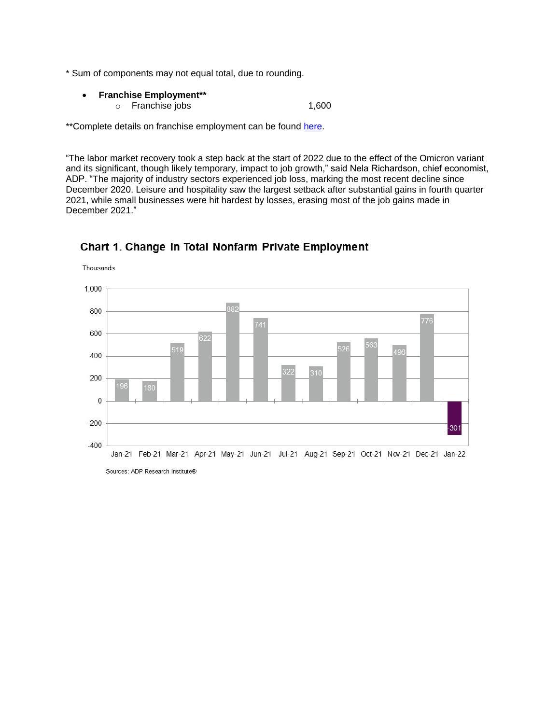- \* Sum of components may not equal total, due to rounding.
	- **Franchise Employment\*\*** o Franchise jobs 1,600

\*\*Complete details on franchise employment can be found [here.](http://www.adpemploymentreport.com/)

"The labor market recovery took a step back at the start of 2022 due to the effect of the Omicron variant and its significant, though likely temporary, impact to job growth," said Nela Richardson, chief economist, ADP. "The majority of industry sectors experienced job loss, marking the most recent decline since December 2020. Leisure and hospitality saw the largest setback after substantial gains in fourth quarter 2021, while small businesses were hit hardest by losses, erasing most of the job gains made in December 2021."



### Chart 1. Change in Total Nonfarm Private Employment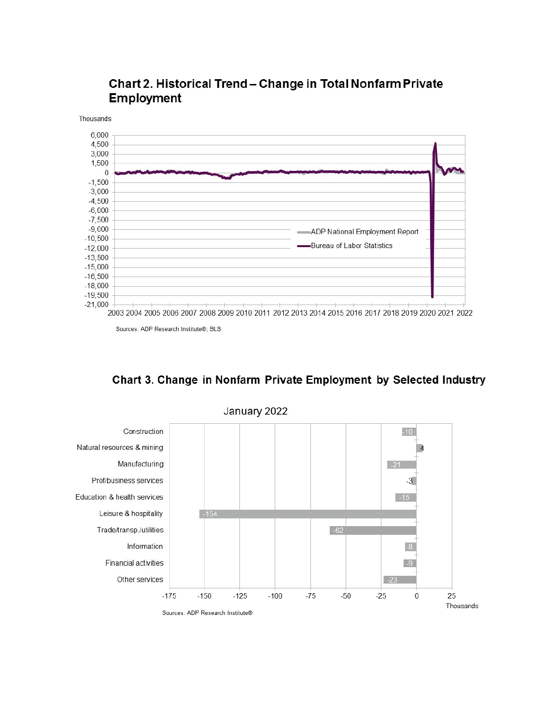

# Chart 2. Historical Trend - Change in Total Nonfarm Private **Employment**

Sources: ADP Research Institute®; BLS





January 2022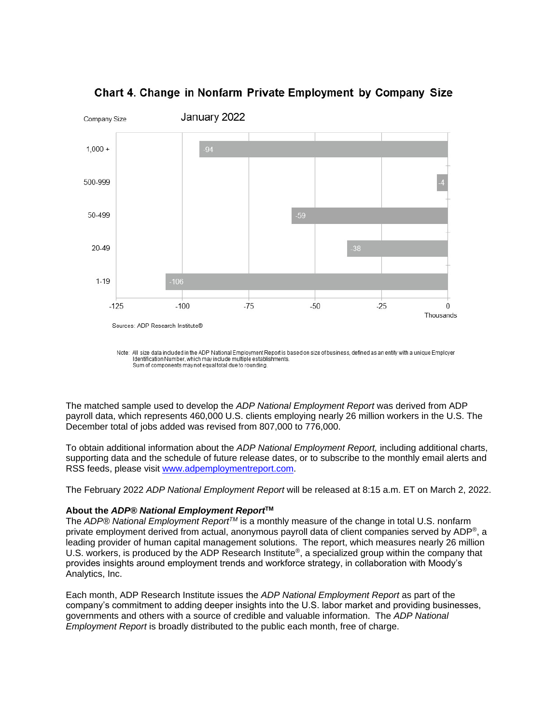

Chart 4. Change in Nonfarm Private Employment by Company Size

The matched sample used to develop the *ADP National Employment Report* was derived from ADP payroll data, which represents 460,000 U.S. clients employing nearly 26 million workers in the U.S. The December total of jobs added was revised from 807,000 to 776,000.

To obtain additional information about the *ADP National Employment Report,* including additional charts, supporting data and the schedule of future release dates, or to subscribe to the monthly email alerts and RSS feeds, please visit [www.adpemploymentreport.com.](http://www.adpemploymentreport.com/)

The February 2022 *ADP National Employment Report* will be released at 8:15 a.m. ET on March 2, 2022.

#### **About the** *ADP® National Employment Report***TM**

The *ADP® National Employment ReportTM* is a monthly measure of the change in total U.S. nonfarm private employment derived from actual, anonymous payroll data of client companies served by ADP®, a leading provider of human capital management solutions. The report, which measures nearly 26 million U.S. workers, is produced by the ADP Research Institute<sup>®</sup>, a specialized group within the company that provides insights around employment trends and workforce strategy, in collaboration with Moody's Analytics, Inc.

Each month, ADP Research Institute issues the *ADP National Employment Report* as part of the company's commitment to adding deeper insights into the U.S. labor market and providing businesses, governments and others with a source of credible and valuable information. The *ADP National Employment Report* is broadly distributed to the public each month, free of charge.

Note: All size data included in the ADP National Employment Report is based on size of business, defined as an entity with a unique Employer Identification Number, which may include multiple establishments.<br>Sum of components may not equal total due to rounding.